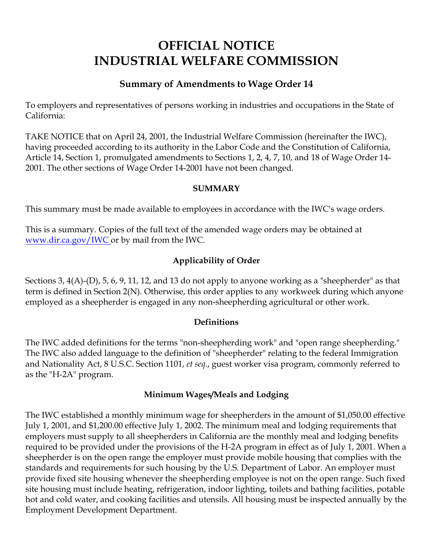# **OFFICIAL NOTICE INDUSTRIAL WELFARE COMMISSION**

# **Summary of Amendments to Wage Order 14**

To employers and representatives of persons working in industries and occupations in the State of California:

TAKE NOTICE that on April 24, 2001, the Industrial Welfare Commission (hereinafter the IWC), having proceeded according to its authority in the Labor Code and the Constitution of California, Article 14, Section 1, promulgated amendments to Sections 1, 2, 4, 7, 10, and 18 of Wage Order 14- 2001. The other sections of Wage Order 14-2001 have not been changed.

#### **SUMMARY**

This summary must be made available to employees in accordance with the IWC's wage orders.

This is a summary. Copies of the full text of the amended wage orders may be obtained at [www.dir.ca.gov/IWC](https://www.dir.ca.gov/IWC) or by mail from the IWC.

## **Applicability of Order**

Sections 3, 4(A)-(D), 5, 6, 9, 11, 12, and 13 do not apply to anyone working as a "sheepherder" as that term is defined in Section 2(N). Otherwise, this order applies to any workweek during which anyone employed as a sheepherder is engaged in any non-sheepherding agricultural or other work.

## **Definitions**

The IWC added definitions for the terms "non-sheepherding work" and "open range sheepherding." The IWC also added language to the definition of "sheepherder" relating to the federal Immigration and Nationality Act, 8 U.S.C. Section 1101, *et seq*., guest worker visa program, commonly referred to as the "H-2A" program.

#### **Minimum Wages/Meals and Lodging**

The IWC established a monthly minimum wage for sheepherders in the amount of \$1,050.00 effective July 1, 2001, and \$1,200.00 effective July 1, 2002. The minimum meal and lodging requirements that employers must supply to all sheepherders in California are the monthly meal and lodging benefits required to be provided under the provisions of the H-2A program in effect as of July 1, 2001. When a sheepherder is on the open range the employer must provide mobile housing that complies with the standards and requirements for such housing by the U.S. Department of Labor. An employer must provide fixed site housing whenever the sheepherding employee is not on the open range. Such fixed site housing must include heating, refrigeration, indoor lighting, toilets and bathing facilities, potable hot and cold water, and cooking facilities and utensils. All housing must be inspected annually by the Employment Development Department.